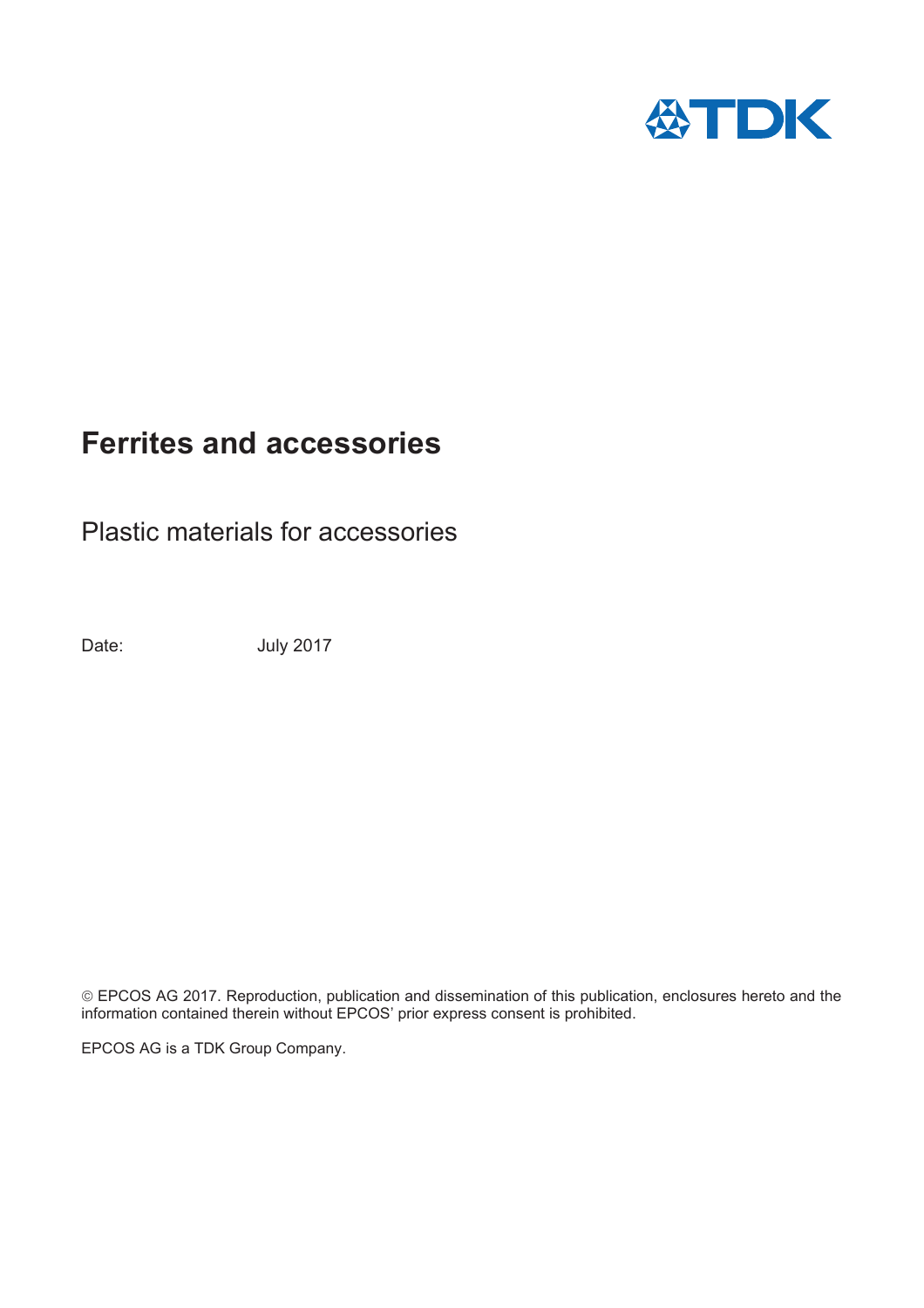

Plastic materials for accessories

Date: July 2017

© EPCOS AG 2017. Reproduction, publication and dissemination of this publication, enclosures hereto and the information contained therein without EPCOS' prior express consent is prohibited.

EPCOS AG is a TDK Group Company.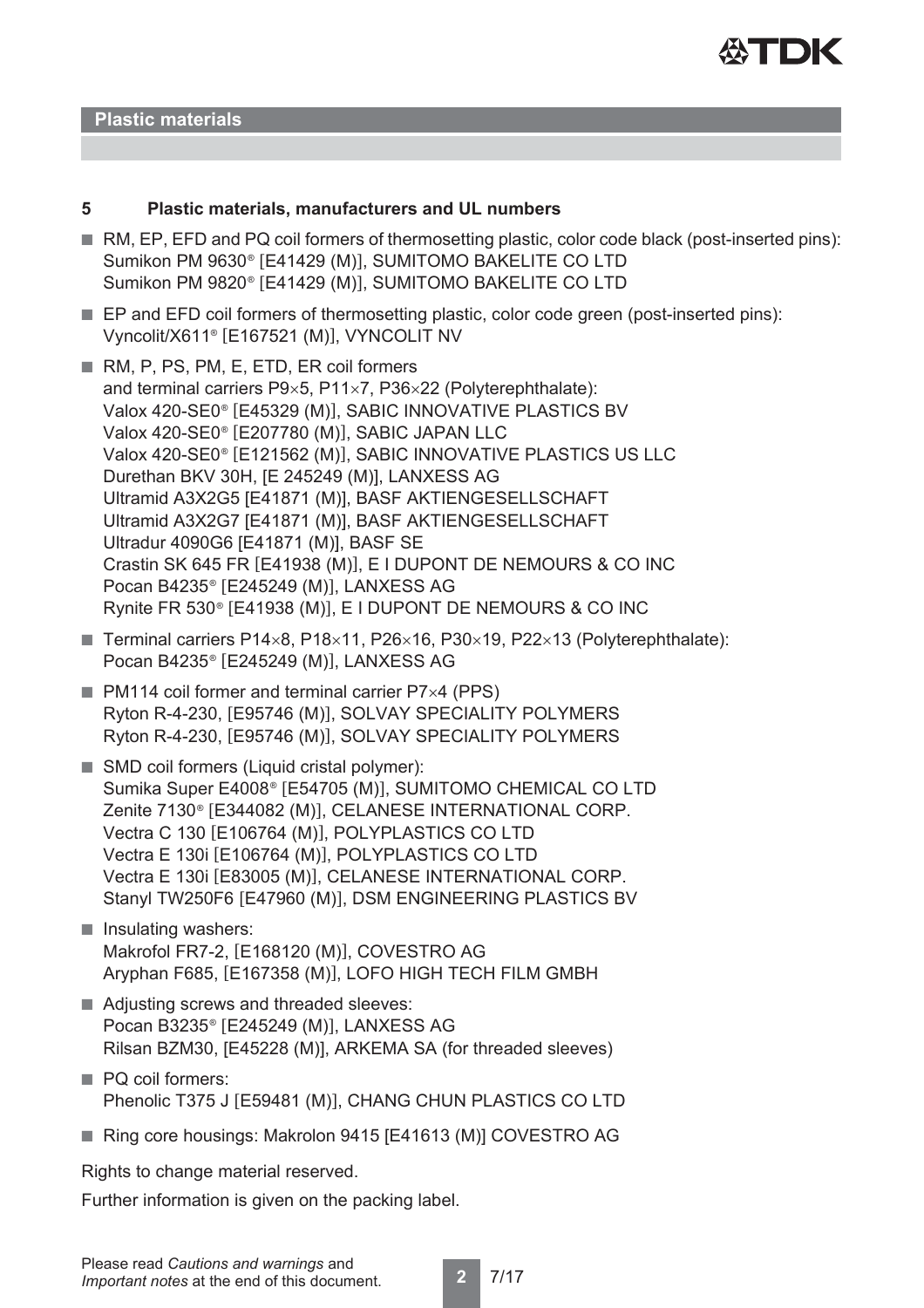

#### **Plastic materials**

#### **5 Plastic materials, manufacturers and UL numbers**

- RM, EP, EFD and PQ coil formers of thermosetting plastic, color code black (post-inserted pins): Sumikon PM 9630® [E41429 (M)], SUMITOMO BAKELITE CO LTD Sumikon PM 9820<sup>®</sup> [E41429 (M)], SUMITOMO BAKELITE CO LTD
- EP and EFD coil formers of thermosetting plastic, color code green (post-inserted pins): Vyncolit/X611® [E167521 (M)], VYNCOLIT NV
- RM, P, PS, PM, E, ETD, ER coil formers and terminal carriers  $P9\times5$ , P11 $\times7$ , P36 $\times22$  (Polyterephthalate): Valox 420-SE0<sup>®</sup> [E45329 (M)], SABIC INNOVATIVE PLASTICS BV Valox 420-SE0<sup>®</sup> [E207780 (M)], SABIC JAPAN LLC Valox 420-SE0<sup>®</sup> [E121562 (M)], SABIC INNOVATIVE PLASTICS US LLC Durethan BKV 30H, [E 245249 (M)], LANXESS AG Ultramid A3X2G5 [E41871 (M)], BASF AKTIENGESELLSCHAFT Ultramid A3X2G7 [E41871 (M)], BASF AKTIENGESELLSCHAFT Ultradur 4090G6 [E41871 (M)], BASF SE Crastin SK 645 FR  $[E41938 \, (M)]$ , E I DUPONT DE NEMOURS & CO INC Pocan B4235<sup>®</sup> [E245249 (M)], LANXESS AG Rynite FR  $530^\circ$  [E41938 (M)], E I DUPONT DE NEMOURS & CO INC
- **Terminal carriers P14×8, P18×11, P26×16, P30×19, P22×13 (Polyterephthalate):** Pocan B4235<sup>®</sup> [E245249 (M)], LANXESS AG
- $\blacksquare$  PM114 coil former and terminal carrier P7 $\times$ 4 (PPS) Ryton R-4-230, [E95746 (M)], SOLVAY SPECIALITY POLYMERS Ryton R-4-230, [E95746 (M)], SOLVAY SPECIALITY POLYMERS
- SMD coil formers (Liquid cristal polymer): Sumika Super E4008<sup>®</sup> [E54705 (M)], SUMITOMO CHEMICAL CO LTD Zenite 7130<sup>®</sup> [E344082 (M)], CELANESE INTERNATIONAL CORP. Vectra C 130 [E106764 (M)], POLYPLASTICS CO LTD Vectra E 130i [E106764 (M)], POLYPLASTICS CO LTD Vectra E 130i [E83005 (M)], CELANESE INTERNATIONAL CORP. Stanyl TW250F6 [E47960 (M)], DSM ENGINEERING PLASTICS BV
- Insulating washers: Makrofol FR7-2, [E168120 (M)], COVESTRO AG Aryphan F685, [E167358 (M)], LOFO HIGH TECH FILM GMBH
- Adjusting screws and threaded sleeves: Pocan B3235<sup>®</sup> [E245249 (M)], LANXESS AG Rilsan BZM30, [E45228 (M)], ARKEMA SA (for threaded sleeves)
- PQ coil formers: Phenolic T375 J [E59481 (M)], CHANG CHUN PLASTICS CO LTD
- Ring core housings: Makrolon 9415 [E41613 (M)] COVESTRO AG

Rights to change material reserved.

Further information is given on the packing label.

**2** 7/17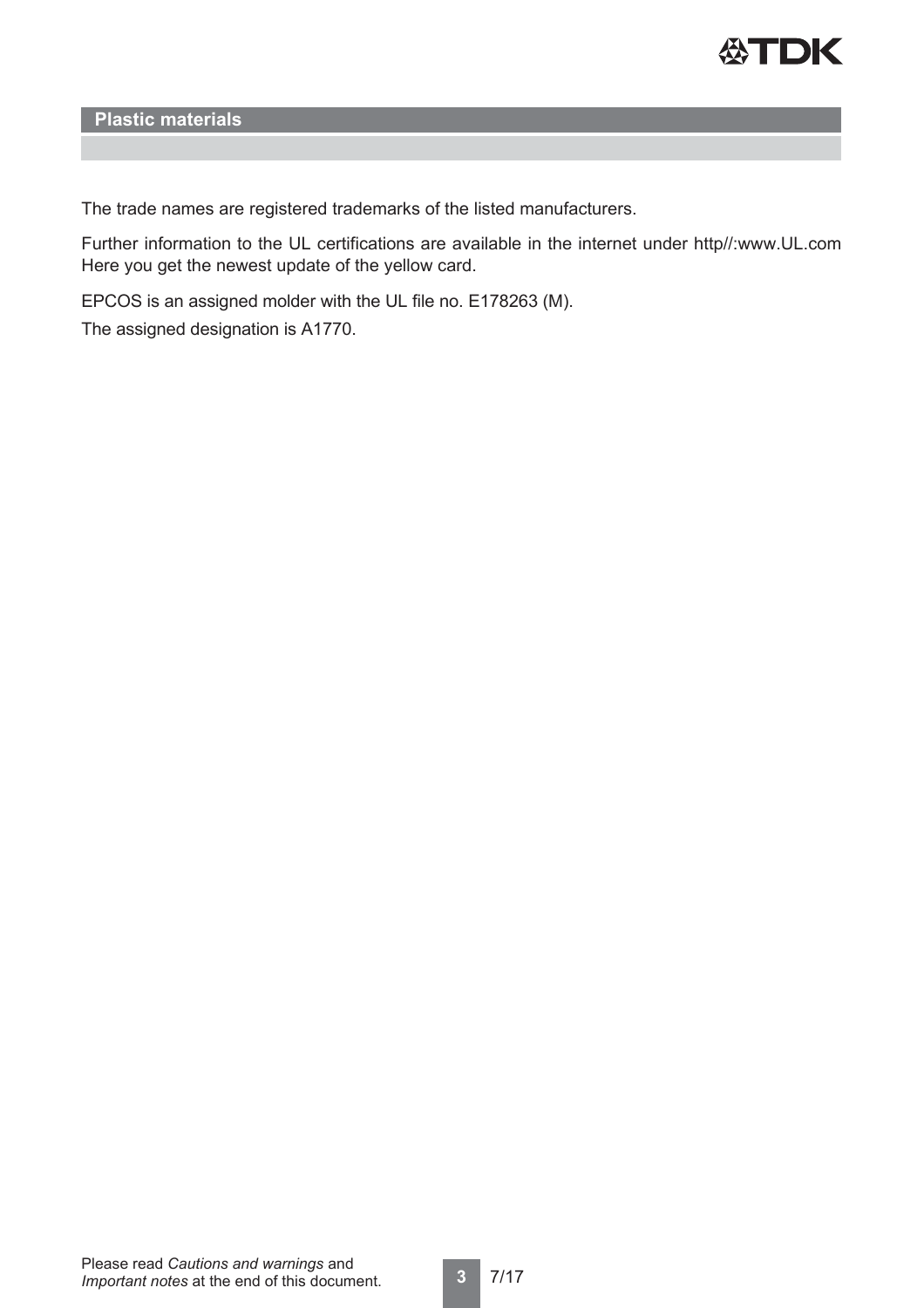

**Plastic materials**

The trade names are registered trademarks of the listed manufacturers.

Further information to the UL certifications are available in the internet under http//:www.UL.com Here you get the newest update of the yellow card.

EPCOS is an assigned molder with the UL file no. E178263 (M).

The assigned designation is A1770.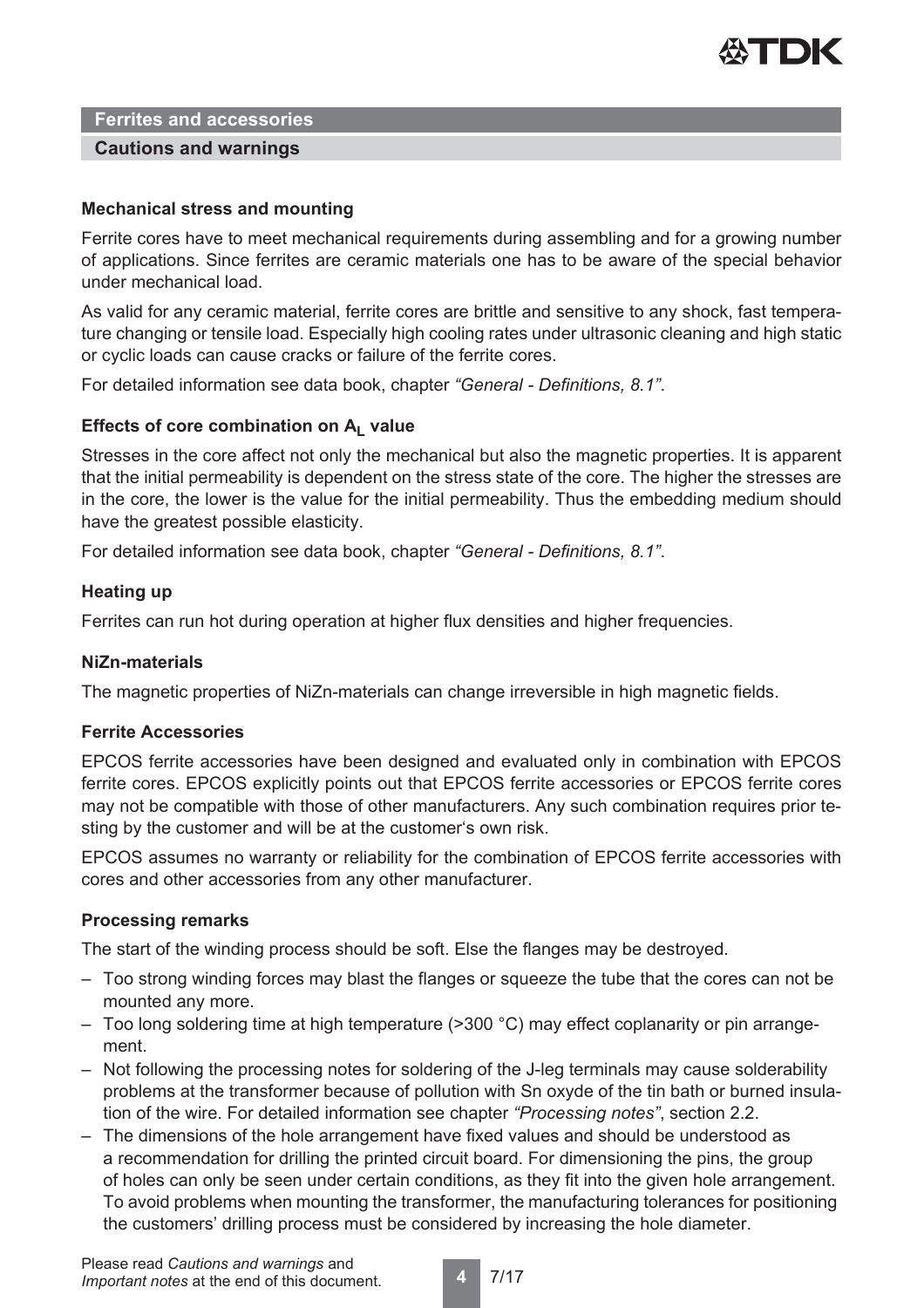

#### **Cautions and warnings**

#### **Mechanical stress and mounting**

Ferrite cores have to meet mechanical requirements during assembling and for a growing number of applications. Since ferrites are ceramic materials one has to be aware of the special behavior under mechanical load.

As valid for any ceramic material, ferrite cores are brittle and sensitive to any shock, fast temperature changing or tensile load. Especially high cooling rates under ultrasonic cleaning and high static or cyclic loads can cause cracks or failure of the ferrite cores.

For detailed information see data book, chapter *"General - Definitions, 8.1"*.

#### Effects of core combination on A<sub>L</sub> value

Stresses in the core affect not only the mechanical but also the magnetic properties. It is apparent that the initial permeability is dependent on the stress state of the core. The higher the stresses are in the core, the lower is the value for the initial permeability. Thus the embedding medium should have the greatest possible elasticity.

For detailed information see data book, chapter *"General - Definitions, 8.1"*.

#### **Heating up**

Ferrites can run hot during operation at higher flux densities and higher frequencies.

#### **NiZn-materials**

The magnetic properties of NiZn-materials can change irreversible in high magnetic fields.

#### **Ferrite Accessories**

EPCOS ferrite accessories have been designed and evaluated only in combination with EPCOS ferrite cores. EPCOS explicitly points out that EPCOS ferrite accessories or EPCOS ferrite cores may not be compatible with those of other manufacturers. Any such combination requires prior testing by the customer and will be at the customer's own risk.

EPCOS assumes no warranty or reliability for the combination of EPCOS ferrite accessories with cores and other accessories from any other manufacturer.

#### **Processing remarks**

The start of the winding process should be soft. Else the flanges may be destroyed.

- Too strong winding forces may blast the flanges or squeeze the tube that the cores can not be mounted any more.
- Too long soldering time at high temperature (>300 °C) may effect coplanarity or pin arrangement.
- Not following the processing notes for soldering of the J-leg terminals may cause solderability problems at the transformer because of pollution with Sn oxyde of the tin bath or burned insulation of the wire. For detailed information see chapter *"Processing notes"*, section 2.2.
- The dimensions of the hole arrangement have fixed values and should be understood as a recommendation for drilling the printed circuit board. For dimensioning the pins, the group of holes can only be seen under certain conditions, as they fit into the given hole arrangement. To avoid problems when mounting the transformer, the manufacturing tolerances for positioning the customers' drilling process must be considered by increasing the hole diameter.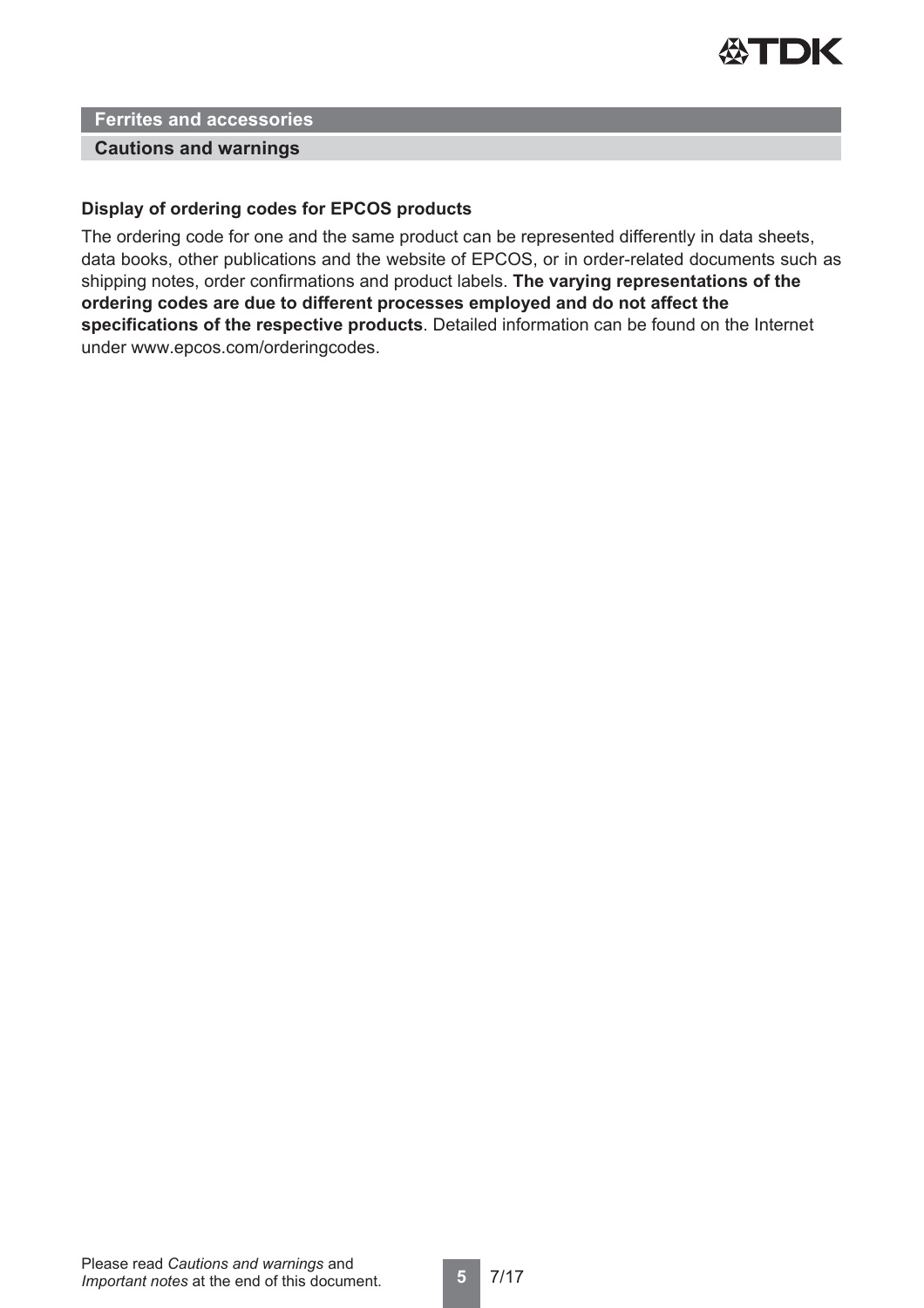

#### **Cautions and warnings**

#### **Display of ordering codes for EPCOS products**

The ordering code for one and the same product can be represented differently in data sheets, data books, other publications and the website of EPCOS, or in order-related documents such as shipping notes, order confirmations and product labels. **The varying representations of the ordering codes are due to different processes employed and do not affect the specifications of the respective products**. Detailed information can be found on the Internet under www.epcos.com/orderingcodes.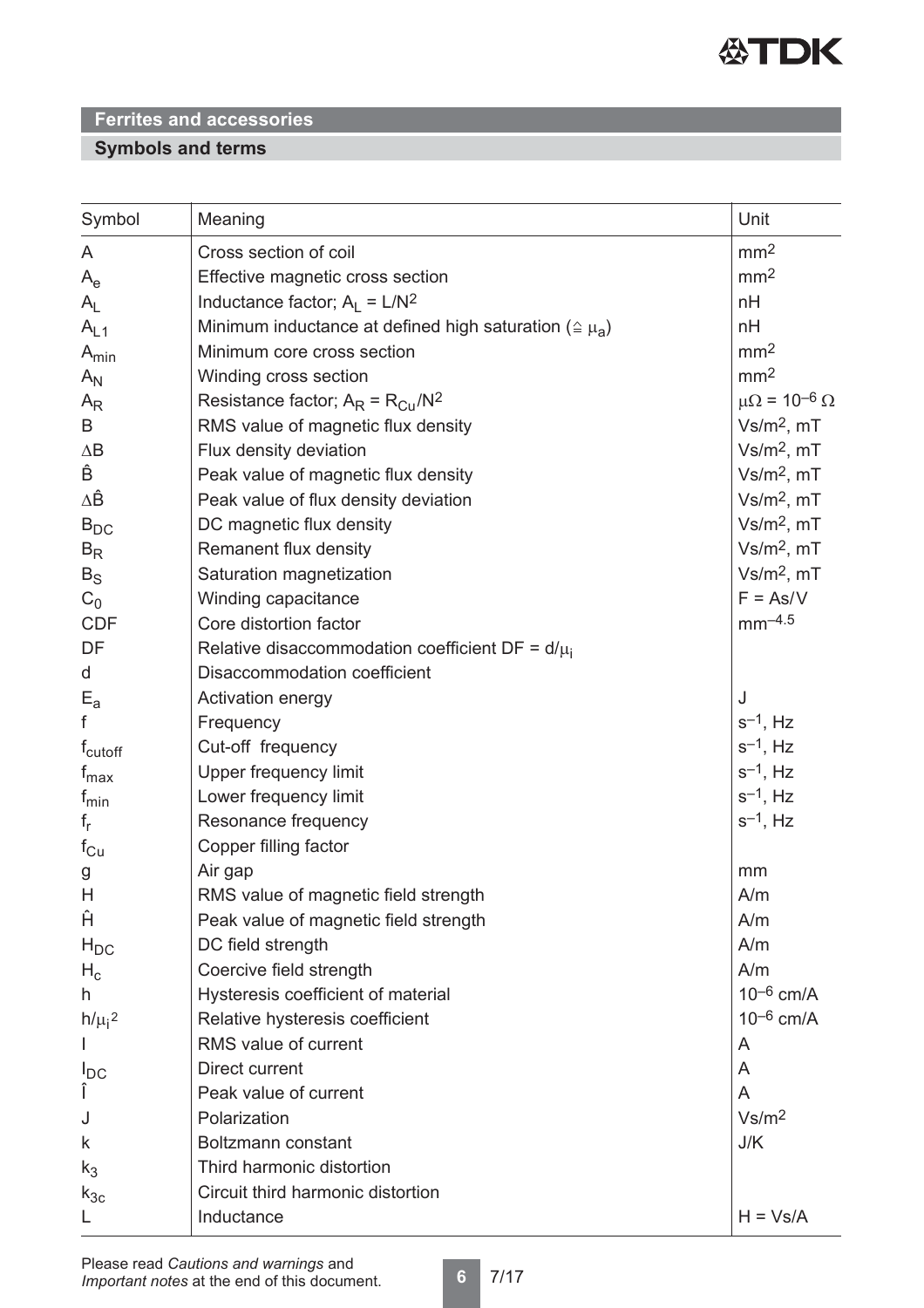

## **Symbols and terms**

| Symbol              | Meaning                                                              | Unit                         |
|---------------------|----------------------------------------------------------------------|------------------------------|
| A                   | Cross section of coil                                                | mm <sup>2</sup>              |
| $A_e$               | Effective magnetic cross section                                     | mm <sup>2</sup>              |
| $A_{L}$             | Inductance factor; $A_1 = L/N^2$                                     | nH                           |
| $A_{L1}$            | Minimum inductance at defined high saturation ( $\triangleq \mu_A$ ) | nH                           |
| $A_{min}$           | Minimum core cross section                                           | mm <sup>2</sup>              |
| $A_N$               | Winding cross section                                                | mm <sup>2</sup>              |
| $A_{R}$             | Resistance factor; $A_R = R_{Cu}/N^2$                                | $\mu\Omega = 10^{-6} \Omega$ |
| B                   | RMS value of magnetic flux density                                   | $Vs/m2$ , mT                 |
| $\Delta \mathsf{B}$ | Flux density deviation                                               | $Vs/m2$ , mT                 |
| Ê                   | Peak value of magnetic flux density                                  | $Vs/m2$ , mT                 |
| ΔÊ                  | Peak value of flux density deviation                                 | $Vs/m2$ , mT                 |
| $B_{DC}$            | DC magnetic flux density                                             | $Vs/m2$ , mT                 |
| $B_R$               | Remanent flux density                                                | $Vs/m2$ , mT                 |
| $B_S$               | Saturation magnetization                                             | $Vs/m2$ , mT                 |
| $C_0$               | Winding capacitance                                                  | $F = As/V$                   |
| <b>CDF</b>          | Core distortion factor                                               | $mm^{-4.5}$                  |
| DF                  | Relative disaccommodation coefficient DF = $d/\mu_i$                 |                              |
| d                   | Disaccommodation coefficient                                         |                              |
| $E_{a}$             | Activation energy                                                    | J                            |
| f                   | Frequency                                                            | $s^{-1}$ , Hz                |
| f <sub>cutoff</sub> | Cut-off frequency                                                    | $s^{-1}$ , Hz                |
| $f_{\text{max}}$    | Upper frequency limit                                                | $s^{-1}$ , Hz                |
| $f_{min}$           | Lower frequency limit                                                | $s^{-1}$ , Hz                |
| $f_r$               | Resonance frequency                                                  | $s^{-1}$ , Hz                |
| $f_{\rm Cu}$        | Copper filling factor                                                |                              |
| g                   | Air gap                                                              | mm                           |
| H                   | RMS value of magnetic field strength                                 | A/m                          |
| Ĥ                   | Peak value of magnetic field strength                                | A/m                          |
| $H_{DC}$            | DC field strength                                                    | A/m                          |
| $H_c$               | Coercive field strength                                              | A/m                          |
| h                   | Hysteresis coefficient of material                                   | $10^{-6}$ cm/A               |
| $h/\mu_i^2$         | Relative hysteresis coefficient                                      | $10^{-6}$ cm/A               |
|                     | RMS value of current                                                 | A                            |
| $I_{DC}$            | Direct current                                                       | A                            |
| Î                   | Peak value of current                                                | A                            |
| J                   | Polarization                                                         | Vs/m <sup>2</sup>            |
| k                   | Boltzmann constant                                                   | J/K                          |
| $k_3$               | Third harmonic distortion                                            |                              |
| $k_{3c}$            | Circuit third harmonic distortion                                    |                              |
| L                   | Inductance                                                           | $H = Vs/A$                   |

**6** 7/17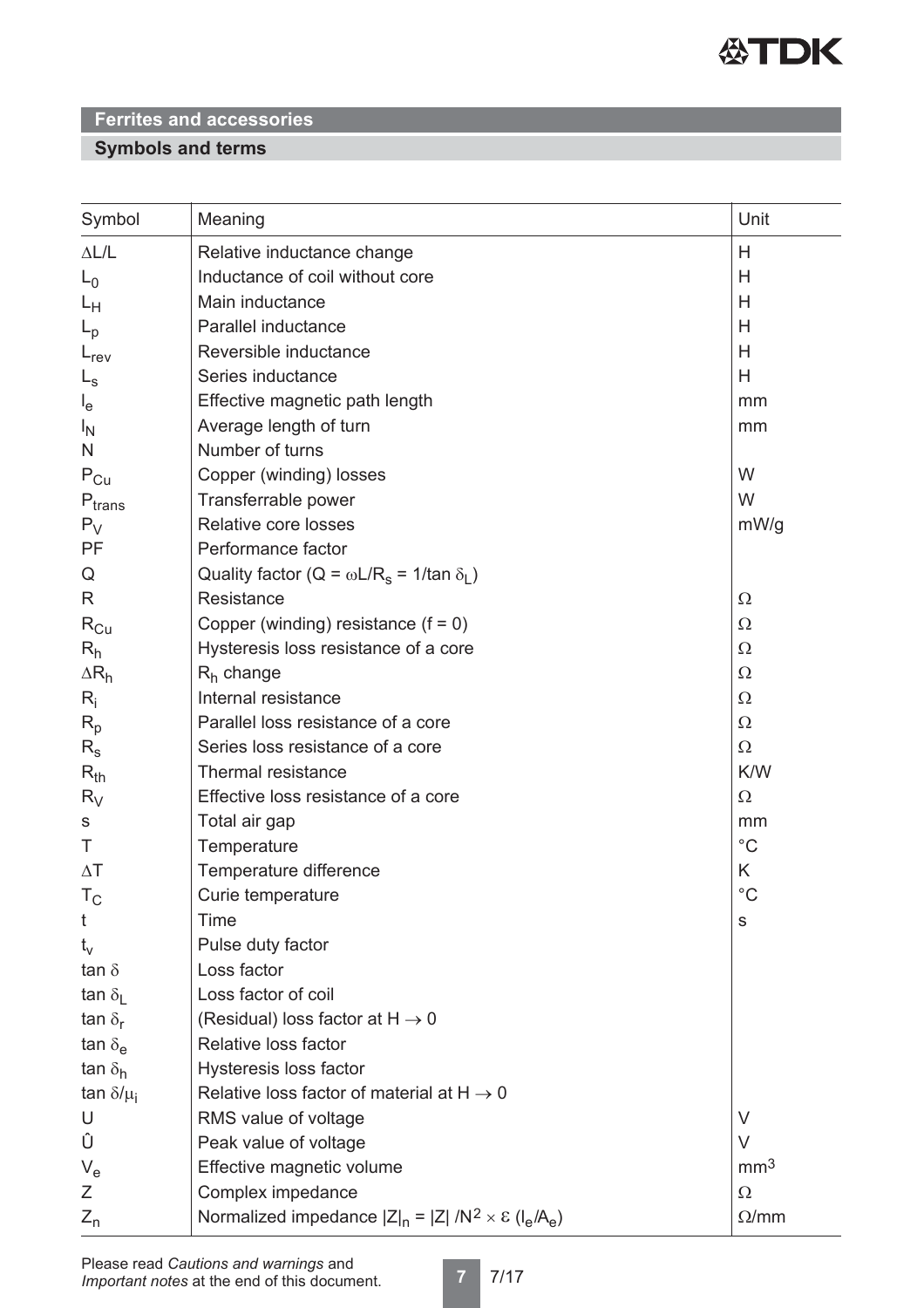

## **Symbols and terms**

| Symbol                    | Meaning                                                                 | Unit            |
|---------------------------|-------------------------------------------------------------------------|-----------------|
| $\Delta L/L$              | Relative inductance change                                              | H               |
| $L_0$                     | Inductance of coil without core                                         | Н               |
| Lн                        | Main inductance                                                         | H               |
| $L_{\rm p}$               | Parallel inductance                                                     | H               |
| $L_{rev}$                 | Reversible inductance                                                   | H               |
| $L_{\rm s}$               | Series inductance                                                       | H               |
| $I_{e}$                   | Effective magnetic path length                                          | mm              |
| $I_{\rm N}$               | Average length of turn                                                  | mm              |
| N                         | Number of turns                                                         |                 |
| $P_{Cu}$                  | Copper (winding) losses                                                 | W               |
| $P_{trans}$               | Transferrable power                                                     | W               |
| $P_V$                     | Relative core losses                                                    | mW/g            |
| PF                        | Performance factor                                                      |                 |
| Q                         | Quality factor ( $Q = \omega L/R_s = 1/tan \delta_l$ )                  |                 |
| R                         | Resistance                                                              | $\Omega$        |
| $\rm R_{Cu}$              | Copper (winding) resistance $(f = 0)$                                   | $\Omega$        |
| $R_h$                     | Hysteresis loss resistance of a core                                    | $\Omega$        |
| $\Delta R_h$              | $R_h$ change                                                            | $\Omega$        |
| $R_i$                     | Internal resistance                                                     | $\Omega$        |
| $R_p$                     | Parallel loss resistance of a core                                      | $\Omega$        |
| $R_{s}$                   | Series loss resistance of a core                                        | $\Omega$        |
| $R_{th}$                  | Thermal resistance                                                      | K/W             |
| $R_V$                     | Effective loss resistance of a core                                     | $\Omega$        |
| S                         | Total air gap                                                           | mm              |
| Τ                         | Temperature                                                             | $^{\circ}C$     |
| $\Delta T$                | Temperature difference                                                  | K               |
| $T_{\rm C}$               | Curie temperature                                                       | $^{\circ}C$     |
| t                         | Time                                                                    | ${\mathbb S}$   |
| $t_{\rm v}$               | Pulse duty factor                                                       |                 |
| tan $\delta$              | Loss factor                                                             |                 |
| tan $\delta_{\rm I}$      | Loss factor of coil                                                     |                 |
| tan $\delta_{\rm r}$      | (Residual) loss factor at $H \rightarrow 0$                             |                 |
| tan $\delta_{\mathsf{e}}$ | Relative loss factor                                                    |                 |
| tan $\delta_h$            | Hysteresis loss factor                                                  |                 |
| tan $\delta/\mu_i$        | Relative loss factor of material at $H \rightarrow 0$                   |                 |
| U                         | RMS value of voltage                                                    | V               |
| Û                         | Peak value of voltage                                                   | $\vee$          |
| $V_{e}$                   | Effective magnetic volume                                               | mm <sup>3</sup> |
| Ζ                         | Complex impedance                                                       | $\Omega$        |
| $Z_{n}$                   | Normalized impedance $ Z _n =  Z  / N^2 \times \varepsilon (I_e / A_e)$ | $\Omega/mm$     |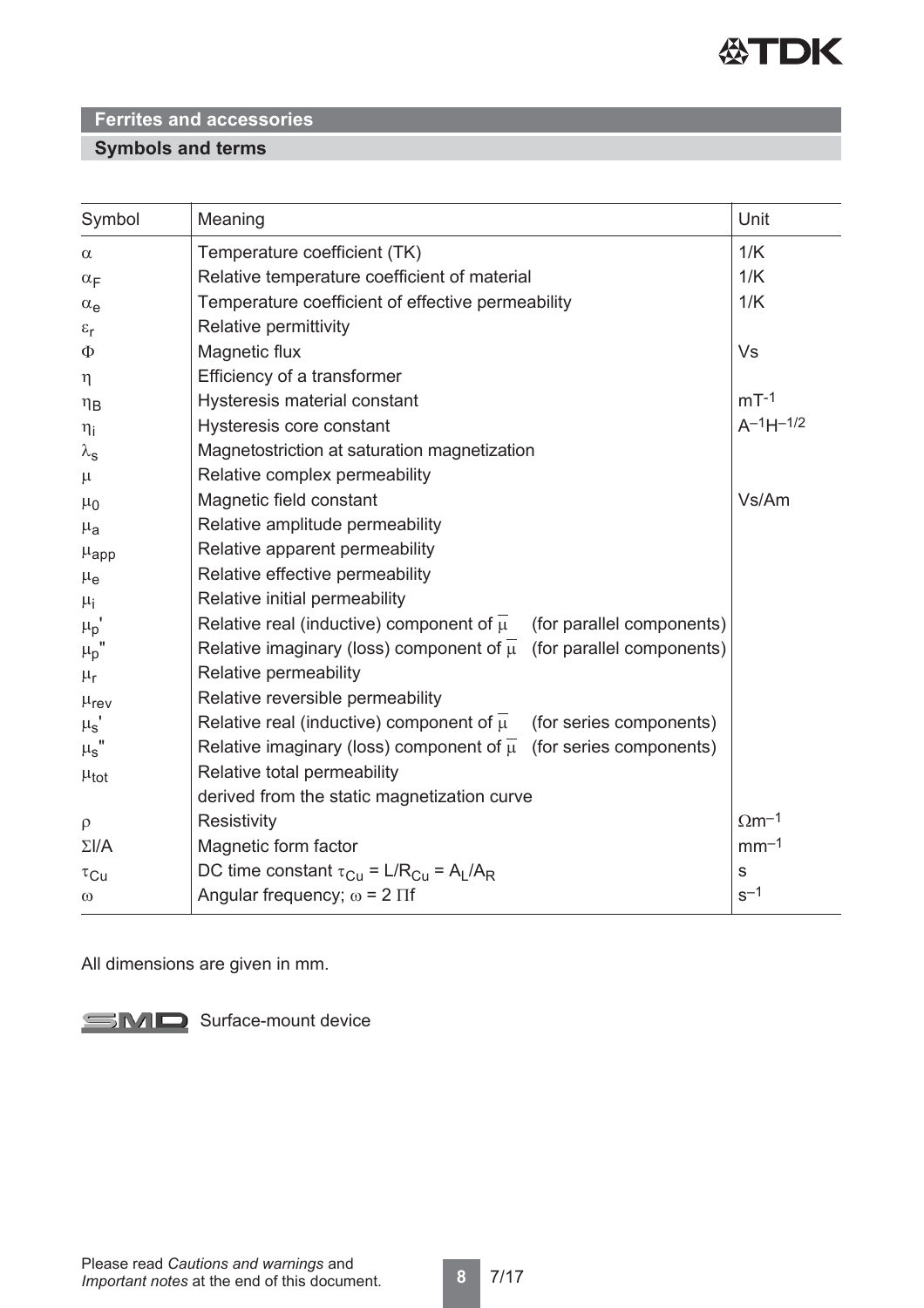

## **Symbols and terms**

| Symbol                | Meaning                                                                              | Unit                     |
|-----------------------|--------------------------------------------------------------------------------------|--------------------------|
| $\alpha$              | Temperature coefficient (TK)                                                         | 1/K                      |
| $\alpha_F$            | Relative temperature coefficient of material                                         | 1/K                      |
| $\alpha_e$            | Temperature coefficient of effective permeability                                    | 1/K                      |
| $\varepsilon_{\rm r}$ | Relative permittivity                                                                |                          |
| Φ                     | Magnetic flux                                                                        | <b>Vs</b>                |
| $\eta$                | Efficiency of a transformer                                                          |                          |
| $\eta_B$              | Hysteresis material constant                                                         | $mT-1$                   |
| $\eta_i$              | Hysteresis core constant                                                             | $A^{-1}H^{-1/2}$         |
| $\lambda_{\rm s}$     | Magnetostriction at saturation magnetization                                         |                          |
| $\mu$                 | Relative complex permeability                                                        |                          |
| $\mu_0$               | Magnetic field constant                                                              | Vs/Am                    |
| $\mu_{a}$             | Relative amplitude permeability                                                      |                          |
| $\mu_{\rm app}$       | Relative apparent permeability                                                       |                          |
| $\mu_{e}$             | Relative effective permeability                                                      |                          |
| $\mu_{\rm i}$         | Relative initial permeability                                                        |                          |
| $\mu_p$ '             | Relative real (inductive) component of $\overline{\mu}$<br>(for parallel components) |                          |
| $\mu_{p}$             | Relative imaginary (loss) component of $\overline{\mu}$ (for parallel components)    |                          |
| $\mu_{\text{r}}$      | Relative permeability                                                                |                          |
| $\mu_{\text{rev}}$    | Relative reversible permeability                                                     |                          |
| $\mu_{\rm s}$         | Relative real (inductive) component of $\overline{\mu}$<br>(for series components)   |                          |
| $\mu_{\text{S}}$ "    | Relative imaginary (loss) component of $\overline{\mu}$ (for series components)      |                          |
| $\mu_{tot}$           | Relative total permeability                                                          |                          |
|                       | derived from the static magnetization curve                                          |                          |
| $\rho$                | Resistivity                                                                          | $\Omega$ m <sup>-1</sup> |
| $\Sigma I/A$          | Magnetic form factor                                                                 | $mm-1$                   |
| $\tau_{\text{Cu}}$    | DC time constant $\tau_{Cu} = L/R_{Cu} = A_L/A_R$                                    | $\mathbf s$              |
| $\omega$              | Angular frequency; $\omega$ = 2 $\Pi$ f                                              | $s^{-1}$                 |

All dimensions are given in mm.

SMD Surface-mount device